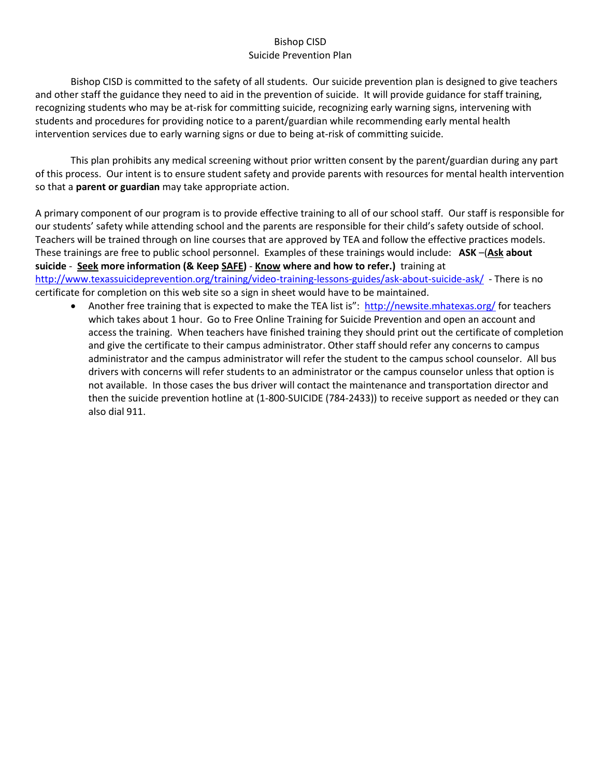#### Bishop CISD Suicide Prevention Plan

Bishop CISD is committed to the safety of all students. Our suicide prevention plan is designed to give teachers and other staff the guidance they need to aid in the prevention of suicide. It will provide guidance for staff training, recognizing students who may be at-risk for committing suicide, recognizing early warning signs, intervening with students and procedures for providing notice to a parent/guardian while recommending early mental health intervention services due to early warning signs or due to being at-risk of committing suicide.

This plan prohibits any medical screening without prior written consent by the parent/guardian during any part of this process. Our intent is to ensure student safety and provide parents with resources for mental health intervention so that a **parent or guardian** may take appropriate action.

A primary component of our program is to provide effective training to all of our school staff. Our staff is responsible for our students' safety while attending school and the parents are responsible for their child's safety outside of school. Teachers will be trained through on line courses that are approved by TEA and follow the effective practices models. These trainings are free to public school personnel. Examples of these trainings would include: **ASK** –(**Ask about suicide** - **Seek more information (& Keep SAFE)** - **Know where and how to refer.)** training at <http://www.texassuicideprevention.org/training/video-training-lessons-guides/ask-about-suicide-ask/>- There is no certificate for completion on this web site so a sign in sheet would have to be maintained.

• Another free training that is expected to make the TEA list is": <http://newsite.mhatexas.org/> for teachers which takes about 1 hour. Go to Free Online Training for Suicide Prevention and open an account and access the training. When teachers have finished training they should print out the certificate of completion and give the certificate to their campus administrator. Other staff should refer any concerns to campus administrator and the campus administrator will refer the student to the campus school counselor. All bus drivers with concerns will refer students to an administrator or the campus counselor unless that option is not available. In those cases the bus driver will contact the maintenance and transportation director and then the suicide prevention hotline at (1-800-SUICIDE (784-2433)) to receive support as needed or they can also dial 911.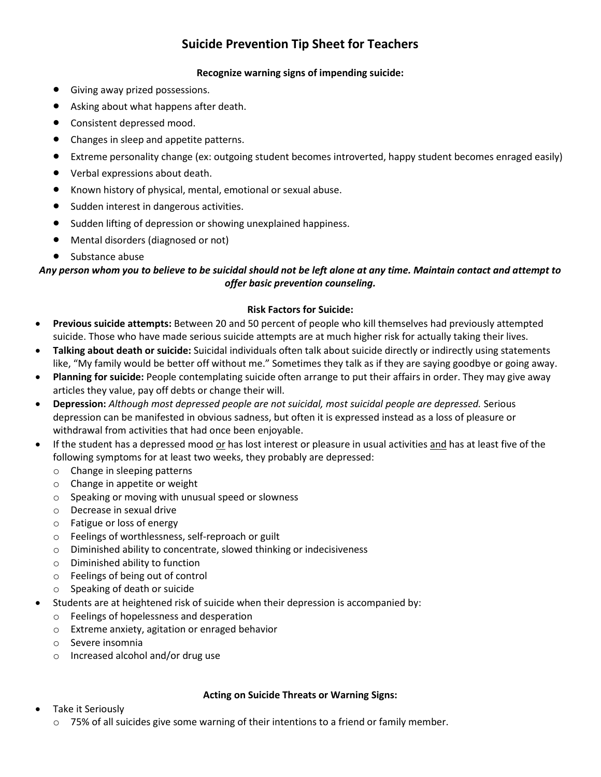# **Suicide Prevention Tip Sheet for Teachers**

#### **Recognize warning signs of impending suicide:**

- Giving away prized possessions.
- Asking about what happens after death.
- Consistent depressed mood.
- Changes in sleep and appetite patterns.
- Extreme personality change (ex: outgoing student becomes introverted, happy student becomes enraged easily)
- Verbal expressions about death.
- Known history of physical, mental, emotional or sexual abuse.
- Sudden interest in dangerous activities.
- Sudden lifting of depression or showing unexplained happiness.
- Mental disorders (diagnosed or not)
- Substance abuse

### *Any person whom you to believe to be suicidal should not be left alone at any time. Maintain contact and attempt to offer basic prevention counseling.*

#### **Risk Factors for Suicide:**

- **Previous suicide attempts:** Between 20 and 50 percent of people who kill themselves had previously attempted suicide. Those who have made serious suicide attempts are at much higher risk for actually taking their lives.
- **Talking about death or suicide:** Suicidal individuals often talk about suicide directly or indirectly using statements like, "My family would be better off without me." Sometimes they talk as if they are saying goodbye or going away.
- **Planning for suicide:** People contemplating suicide often arrange to put their affairs in order. They may give away articles they value, pay off debts or change their will.
- **Depression:** *Although most depressed people are not suicidal, most suicidal people are depressed.* Serious depression can be manifested in obvious sadness, but often it is expressed instead as a loss of pleasure or withdrawal from activities that had once been enjoyable.
- If the student has a depressed mood or has lost interest or pleasure in usual activities and has at least five of the following symptoms for at least two weeks, they probably are depressed:
	- o Change in sleeping patterns
	- o Change in appetite or weight
	- o Speaking or moving with unusual speed or slowness
	- o Decrease in sexual drive
	- o Fatigue or loss of energy
	- o Feelings of worthlessness, self-reproach or guilt
	- o Diminished ability to concentrate, slowed thinking or indecisiveness
	- o Diminished ability to function
	- o Feelings of being out of control
	- o Speaking of death or suicide
- Students are at heightened risk of suicide when their depression is accompanied by:
	- o Feelings of hopelessness and desperation
	- o Extreme anxiety, agitation or enraged behavior
	- o Severe insomnia
	- o Increased alcohol and/or drug use

#### **Acting on Suicide Threats or Warning Signs:**

- Take it Seriously
	- $\circ$  75% of all suicides give some warning of their intentions to a friend or family member.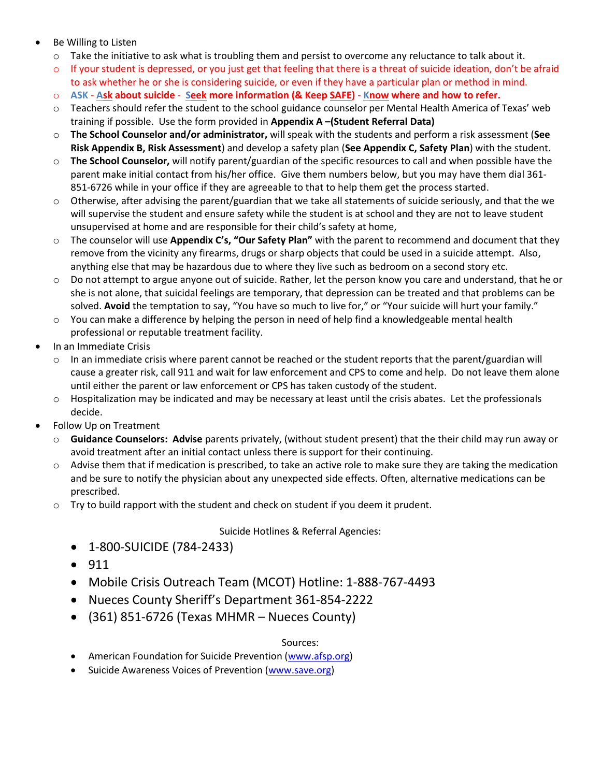- Be Willing to Listen
	- $\circ$  Take the initiative to ask what is troubling them and persist to overcome any reluctance to talk about it.
	- $\circ$  If your student is depressed, or you just get that feeling that there is a threat of suicide ideation, don't be afraid to ask whether he or she is considering suicide, or even if they have a particular plan or method in mind.
	- o **ASK Ask about suicide Seek more information (& Keep SAFE) Know where and how to refer.**
	- o Teachers should refer the student to the school guidance counselor per Mental Health America of Texas' web training if possible. Use the form provided in **Appendix A –(Student Referral Data)**
	- o **The School Counselor and/or administrator,** will speak with the students and perform a risk assessment (**See Risk Appendix B, Risk Assessment**) and develop a safety plan (**See Appendix C, Safety Plan**) with the student.
	- o **The School Counselor,** will notify parent/guardian of the specific resources to call and when possible have the parent make initial contact from his/her office. Give them numbers below, but you may have them dial 361- 851-6726 while in your office if they are agreeable to that to help them get the process started.
	- $\circ$  Otherwise, after advising the parent/guardian that we take all statements of suicide seriously, and that the we will supervise the student and ensure safety while the student is at school and they are not to leave student unsupervised at home and are responsible for their child's safety at home,
	- o The counselor will use **Appendix C's, "Our Safety Plan"** with the parent to recommend and document that they remove from the vicinity any firearms, drugs or sharp objects that could be used in a suicide attempt. Also, anything else that may be hazardous due to where they live such as bedroom on a second story etc.
	- o Do not attempt to argue anyone out of suicide. Rather, let the person know you care and understand, that he or she is not alone, that suicidal feelings are temporary, that depression can be treated and that problems can be solved. **Avoid** the temptation to say, "You have so much to live for," or "Your suicide will hurt your family."
	- o You can make a difference by helping the person in need of help find a knowledgeable mental health professional or reputable treatment facility.
- In an Immediate Crisis
	- $\circ$  In an immediate crisis where parent cannot be reached or the student reports that the parent/guardian will cause a greater risk, call 911 and wait for law enforcement and CPS to come and help. Do not leave them alone until either the parent or law enforcement or CPS has taken custody of the student.
	- $\circ$  Hospitalization may be indicated and may be necessary at least until the crisis abates. Let the professionals decide.
- Follow Up on Treatment
	- o **Guidance Counselors: Advise** parents privately, (without student present) that the their child may run away or avoid treatment after an initial contact unless there is support for their continuing.
	- $\circ$  Advise them that if medication is prescribed, to take an active role to make sure they are taking the medication and be sure to notify the physician about any unexpected side effects. Often, alternative medications can be prescribed.
	- $\circ$  Try to build rapport with the student and check on student if you deem it prudent.

#### Suicide Hotlines & Referral Agencies:

- 1-800-SUICIDE (784-2433)
- $911$
- Mobile Crisis Outreach Team (MCOT) Hotline: 1-888-767-4493
- Nueces County Sheriff's Department 361-854-2222
- $(361)$  851-6726 (Texas MHMR Nueces County)

#### Sources:

- American Foundation for Suicide Prevention [\(www.afsp.org\)](http://www.afsp.org/)
- Suicide Awareness Voices of Prevention [\(www.save.org\)](http://www.save.org/)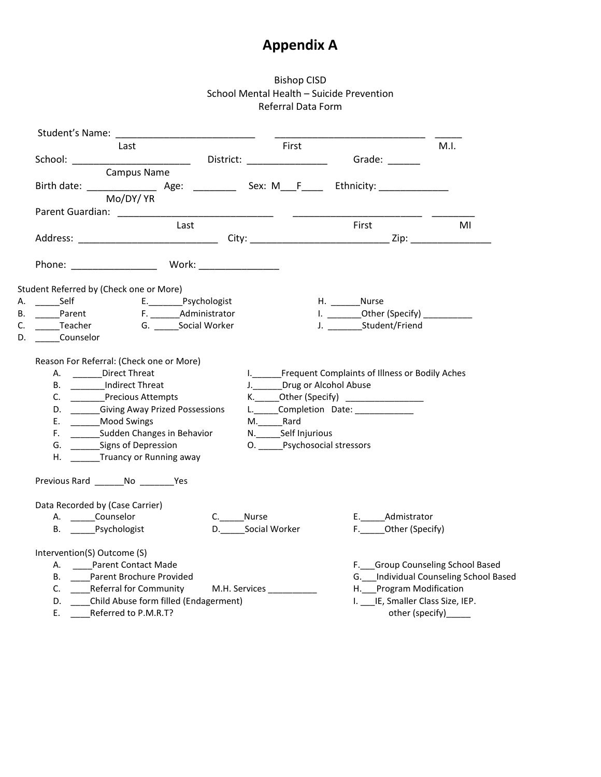# **Appendix A**

### Bishop CISD School Mental Health – Suicide Prevention Referral Data Form

|    |                                         | Last                                                                                                                                                                                                                                                                                                                                         |      |          |                  | First                     |                                                                                                                                                                                              |                         | M.I.                                  |
|----|-----------------------------------------|----------------------------------------------------------------------------------------------------------------------------------------------------------------------------------------------------------------------------------------------------------------------------------------------------------------------------------------------|------|----------|------------------|---------------------------|----------------------------------------------------------------------------------------------------------------------------------------------------------------------------------------------|-------------------------|---------------------------------------|
|    |                                         |                                                                                                                                                                                                                                                                                                                                              |      |          |                  |                           |                                                                                                                                                                                              |                         |                                       |
|    |                                         | Campus Name                                                                                                                                                                                                                                                                                                                                  |      |          |                  |                           |                                                                                                                                                                                              |                         |                                       |
|    |                                         |                                                                                                                                                                                                                                                                                                                                              |      |          |                  |                           |                                                                                                                                                                                              |                         |                                       |
|    |                                         | Mo/DY/ YR                                                                                                                                                                                                                                                                                                                                    |      |          |                  |                           |                                                                                                                                                                                              |                         |                                       |
|    |                                         | Parent Guardian: __________                                                                                                                                                                                                                                                                                                                  |      |          |                  |                           |                                                                                                                                                                                              |                         |                                       |
|    |                                         |                                                                                                                                                                                                                                                                                                                                              | Last |          |                  |                           | <b>First</b>                                                                                                                                                                                 |                         | MI                                    |
|    |                                         |                                                                                                                                                                                                                                                                                                                                              |      |          |                  |                           |                                                                                                                                                                                              |                         |                                       |
|    |                                         | Phone: Work: Work:                                                                                                                                                                                                                                                                                                                           |      |          |                  |                           |                                                                                                                                                                                              |                         |                                       |
|    | Student Referred by (Check one or More) |                                                                                                                                                                                                                                                                                                                                              |      |          |                  |                           |                                                                                                                                                                                              |                         |                                       |
| А. |                                         | ________Self        E.__________Psychologist                                                                                                                                                                                                                                                                                                 |      |          |                  |                           | H. Nurse                                                                                                                                                                                     |                         |                                       |
| В. |                                         |                                                                                                                                                                                                                                                                                                                                              |      |          |                  |                           | I. ___________Other (Specify) ______________                                                                                                                                                 |                         |                                       |
| C. |                                         | ______Teacher      G. _______Social Worker                                                                                                                                                                                                                                                                                                   |      |          |                  |                           | J. __________Student/Friend                                                                                                                                                                  |                         |                                       |
| D. | Counselor                               |                                                                                                                                                                                                                                                                                                                                              |      |          |                  |                           |                                                                                                                                                                                              |                         |                                       |
|    | C.                                      | Reason For Referral: (Check one or More)<br>A. _______Direct Threat<br>B. _________Indirect Threat<br>Precious Attempts<br>D. Giving Away Prized Possessions<br>E. ________ Mood Swings<br>F. _________Sudden Changes in Behavior<br>G. ________Signs of Depression<br>H. Truancy or Running away<br>Previous Rard ________ No _________ Yes |      |          | M._________Rard  | N. _______ Self Injurious | I. ______Frequent Complaints of Illness or Bodily Aches<br>J._______Drug or Alcohol Abuse<br>K.______Other (Specify) ___________________<br>L. Completion Date:<br>O. Psychosocial stressors |                         |                                       |
|    |                                         | Data Recorded by (Case Carrier)                                                                                                                                                                                                                                                                                                              |      |          |                  |                           |                                                                                                                                                                                              |                         |                                       |
|    |                                         | A. Counselor                                                                                                                                                                                                                                                                                                                                 |      | C. Nurse |                  |                           |                                                                                                                                                                                              | E. Admistrator          |                                       |
|    |                                         | B. Psychologist                                                                                                                                                                                                                                                                                                                              |      |          | D. Social Worker |                           |                                                                                                                                                                                              | F. Other (Specify)      |                                       |
|    | Intervention(S) Outcome (S)             | A. _____Parent Contact Made                                                                                                                                                                                                                                                                                                                  |      |          |                  |                           |                                                                                                                                                                                              |                         | F. Group Counseling School Based      |
|    |                                         | B. Parent Brochure Provided                                                                                                                                                                                                                                                                                                                  |      |          |                  |                           |                                                                                                                                                                                              |                         | G. Individual Counseling School Based |
|    |                                         | C. Referral for Community M.H. Services                                                                                                                                                                                                                                                                                                      |      |          |                  |                           |                                                                                                                                                                                              | H. Program Modification |                                       |
|    |                                         | D. ____Child Abuse form filled (Endagerment)                                                                                                                                                                                                                                                                                                 |      |          |                  |                           |                                                                                                                                                                                              |                         | I. ___ IE, Smaller Class Size, IEP.   |
|    |                                         | E. _____Referred to P.M.R.T?                                                                                                                                                                                                                                                                                                                 |      |          |                  |                           |                                                                                                                                                                                              | other (specify)______   |                                       |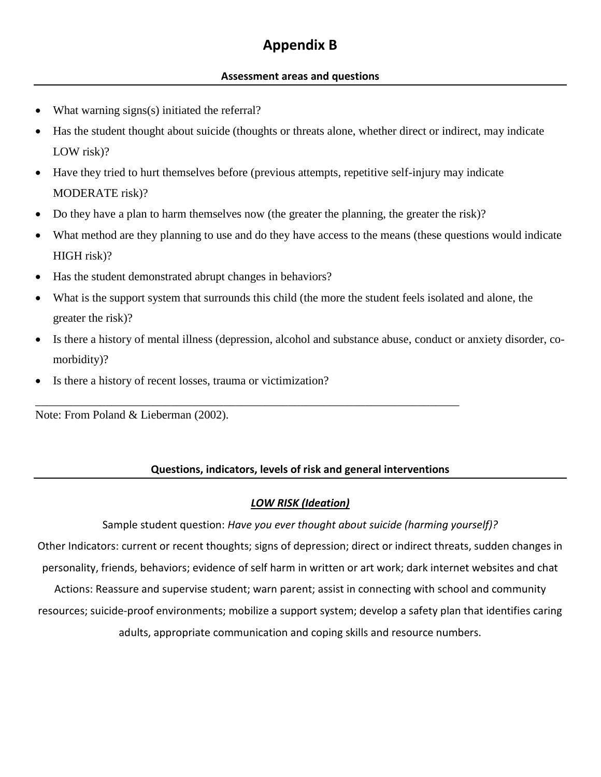# **Appendix B**

### **Assessment areas and questions**

- What warning signs(s) initiated the referral?
- Has the student thought about suicide (thoughts or threats alone, whether direct or indirect, may indicate LOW risk)?
- Have they tried to hurt themselves before (previous attempts, repetitive self-injury may indicate MODERATE risk)?
- Do they have a plan to harm themselves now (the greater the planning, the greater the risk)?

\_\_\_\_\_\_\_\_\_\_\_\_\_\_\_\_\_\_\_\_\_\_\_\_\_\_\_\_\_\_\_\_\_\_\_\_\_\_\_\_\_\_\_\_\_\_\_\_\_\_\_\_\_\_\_\_\_\_\_\_\_\_\_\_\_\_\_\_\_\_\_\_

- What method are they planning to use and do they have access to the means (these questions would indicate HIGH risk)?
- Has the student demonstrated abrupt changes in behaviors?
- What is the support system that surrounds this child (the more the student feels isolated and alone, the greater the risk)?
- Is there a history of mental illness (depression, alcohol and substance abuse, conduct or anxiety disorder, comorbidity)?
- Is there a history of recent losses, trauma or victimization?

Note: From Poland & Lieberman (2002).

## **Questions, indicators, levels of risk and general interventions**

### *LOW RISK (Ideation)*

Sample student question: *Have you ever thought about suicide (harming yourself)?*

Other Indicators: current or recent thoughts; signs of depression; direct or indirect threats, sudden changes in personality, friends, behaviors; evidence of self harm in written or art work; dark internet websites and chat Actions: Reassure and supervise student; warn parent; assist in connecting with school and community resources; suicide-proof environments; mobilize a support system; develop a safety plan that identifies caring adults, appropriate communication and coping skills and resource numbers.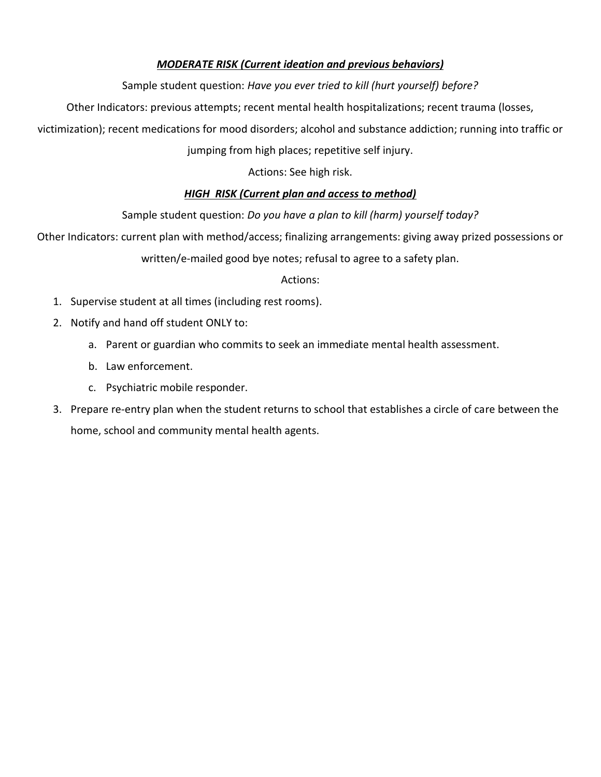## *MODERATE RISK (Current ideation and previous behaviors)*

## Sample student question: *Have you ever tried to kill (hurt yourself) before?*

Other Indicators: previous attempts; recent mental health hospitalizations; recent trauma (losses,

victimization); recent medications for mood disorders; alcohol and substance addiction; running into traffic or

jumping from high places; repetitive self injury.

Actions: See high risk.

## *HIGH RISK (Current plan and access to method)*

## Sample student question: *Do you have a plan to kill (harm) yourself today?*

Other Indicators: current plan with method/access; finalizing arrangements: giving away prized possessions or

written/e-mailed good bye notes; refusal to agree to a safety plan.

### Actions:

- 1. Supervise student at all times (including rest rooms).
- 2. Notify and hand off student ONLY to:
	- a. Parent or guardian who commits to seek an immediate mental health assessment.
	- b. Law enforcement.
	- c. Psychiatric mobile responder.
- 3. Prepare re-entry plan when the student returns to school that establishes a circle of care between the home, school and community mental health agents.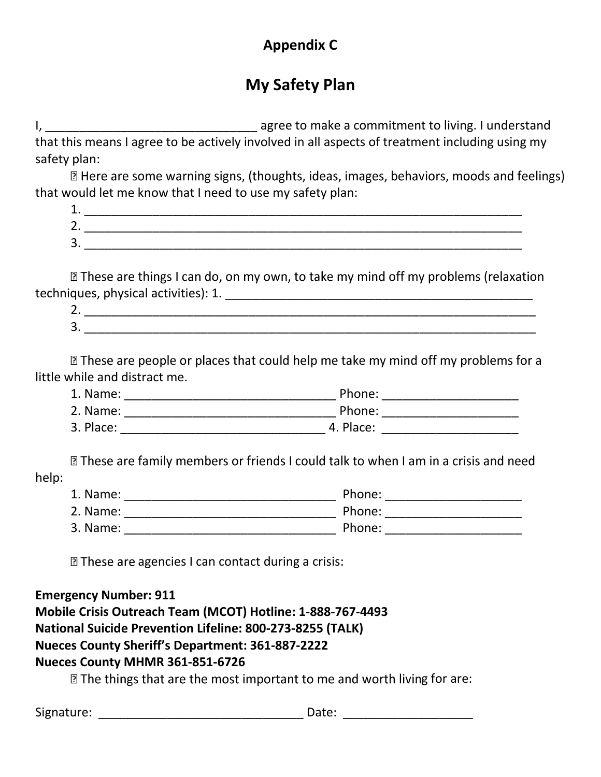# **Appendix C**

# **My Safety Plan**

I, \_\_\_\_\_\_\_\_\_\_\_\_\_\_\_\_\_\_\_\_\_\_\_\_\_\_\_\_\_\_\_ agree to make a commitment to living. I understand that this means I agree to be actively involved in all aspects of treatment including using my safety plan:

I Here are some warning signs, (thoughts, ideas, images, behaviors, moods and feelings) that would let me know that I need to use my safety plan:

| --            |  |
|---------------|--|
| ∽<br><u>.</u> |  |
| ∽<br>້        |  |

**Z These are things I can do, on my own, to take my mind off my problems (relaxation** techniques, physical activities): 1. \_\_\_\_\_\_\_\_\_\_\_\_\_\_\_\_\_\_\_\_\_\_\_\_\_\_\_\_\_\_\_\_\_\_\_\_\_\_\_\_\_\_\_\_\_

| -<br><u>.</u> |        |  |
|---------------|--------|--|
| ∽<br>ັ        | ______ |  |

I These are people or places that could help me take my mind off my problems for a little while and distract me.

| 1. Name:  | Phone:    |  |
|-----------|-----------|--|
| 2. Name:  | Phone:    |  |
| 3. Place: | 4. Place: |  |

I These are family members or friends I could talk to when I am in a crisis and need help:

| 1. Name: | Phone: |
|----------|--------|
| 2. Name: | Phone: |
| 3. Name: | Phone: |

**Z These are agencies I can contact during a crisis:** 

# **Emergency Number: 911**

**Mobile Crisis Outreach Team (MCOT) Hotline: 1-888-767-4493**

# **National Suicide Prevention Lifeline: 800-273-8255 (TALK)**

# **Nueces County Sheriff's Department: 361-887-2222**

# **Nueces County MHMR 361-851-6726**

**Z The things that are the most important to me and worth living for are:** 

Signature: \_\_\_\_\_\_\_\_\_\_\_\_\_\_\_\_\_\_\_\_\_\_\_\_\_\_\_\_\_\_ Date: \_\_\_\_\_\_\_\_\_\_\_\_\_\_\_\_\_\_\_